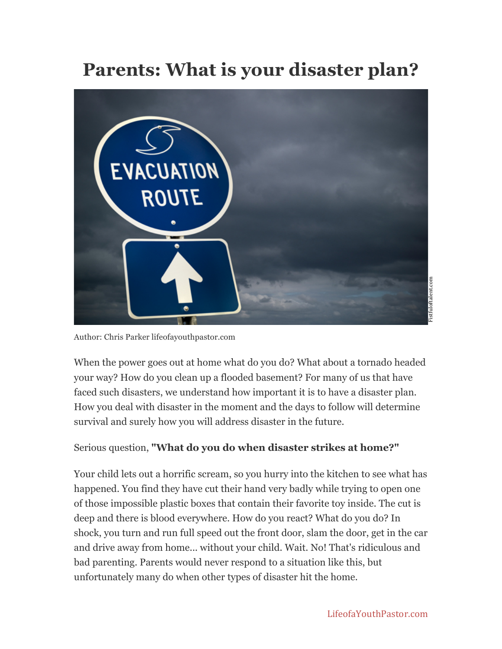## **Parents: What is your disaster plan?**



Author: Chris Parker lifeofayouthpastor.com

When the power goes out at home what do you do? What about a tornado headed your way? How do you clean up a flooded basement? For many of us that have faced such disasters, we understand how important it is to have a disaster plan. How you deal with disaster in the moment and the days to follow will determine survival and surely how you will address disaster in the future.

## Serious question, **"What do you do when disaster strikes at home?"**

Your child lets out a horrific scream, so you hurry into the kitchen to see what has happened. You find they have cut their hand very badly while trying to open one of those impossible plastic boxes that contain their favorite toy inside. The cut is deep and there is blood everywhere. How do you react? What do you do? In shock, you turn and run full speed out the front door, slam the door, get in the car and drive away from home... without your child. Wait. No! That's ridiculous and bad parenting. Parents would never respond to a situation like this, but unfortunately many do when other types of disaster hit the home.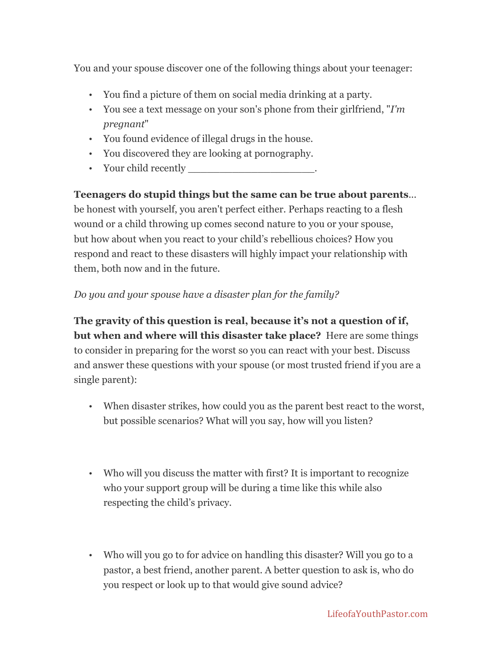You and your spouse discover one of the following things about your teenager:

- You find a picture of them on social media drinking at a party.
- You see a text message on your son's phone from their girlfriend, "*I'm pregnant*"
- You found evidence of illegal drugs in the house.
- You discovered they are looking at pornography.
- Your child recently

**Teenagers do stupid things but the same can be true about parents**... be honest with yourself, you aren't perfect either. Perhaps reacting to a flesh wound or a child throwing up comes second nature to you or your spouse, but how about when you react to your child's rebellious choices? How you respond and react to these disasters will highly impact your relationship with them, both now and in the future.

## *Do you and your spouse have a disaster plan for the family?*

**The gravity of this question is real, because it's not a question of if, but when and where will this disaster take place?** Here are some things to consider in preparing for the worst so you can react with your best. Discuss and answer these questions with your spouse (or most trusted friend if you are a single parent):

- When disaster strikes, how could you as the parent best react to the worst, but possible scenarios? What will you say, how will you listen?
- Who will you discuss the matter with first? It is important to recognize who your support group will be during a time like this while also respecting the child's privacy.
- Who will you go to for advice on handling this disaster? Will you go to a pastor, a best friend, another parent. A better question to ask is, who do you respect or look up to that would give sound advice?